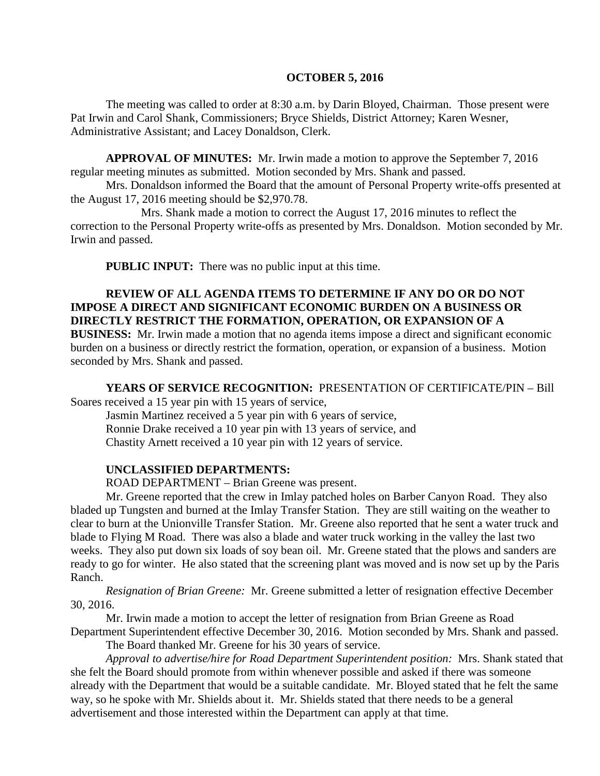#### **OCTOBER 5, 2016**

The meeting was called to order at 8:30 a.m. by Darin Bloyed, Chairman. Those present were Pat Irwin and Carol Shank, Commissioners; Bryce Shields, District Attorney; Karen Wesner, Administrative Assistant; and Lacey Donaldson, Clerk.

**APPROVAL OF MINUTES:** Mr. Irwin made a motion to approve the September 7, 2016 regular meeting minutes as submitted. Motion seconded by Mrs. Shank and passed.

Mrs. Donaldson informed the Board that the amount of Personal Property write-offs presented at the August 17, 2016 meeting should be \$2,970.78.

Mrs. Shank made a motion to correct the August 17, 2016 minutes to reflect the correction to the Personal Property write-offs as presented by Mrs. Donaldson. Motion seconded by Mr. Irwin and passed.

 **PUBLIC INPUT:** There was no public input at this time.

### **REVIEW OF ALL AGENDA ITEMS TO DETERMINE IF ANY DO OR DO NOT IMPOSE A DIRECT AND SIGNIFICANT ECONOMIC BURDEN ON A BUSINESS OR DIRECTLY RESTRICT THE FORMATION, OPERATION, OR EXPANSION OF A**

**BUSINESS:** Mr. Irwin made a motion that no agenda items impose a direct and significant economic burden on a business or directly restrict the formation, operation, or expansion of a business. Motion seconded by Mrs. Shank and passed.

**YEARS OF SERVICE RECOGNITION:** PRESENTATION OF CERTIFICATE/PIN – Bill Soares received a 15 year pin with 15 years of service,

Jasmin Martinez received a 5 year pin with 6 years of service, Ronnie Drake received a 10 year pin with 13 years of service, and Chastity Arnett received a 10 year pin with 12 years of service.

#### **UNCLASSIFIED DEPARTMENTS:**

ROAD DEPARTMENT – Brian Greene was present.

Mr. Greene reported that the crew in Imlay patched holes on Barber Canyon Road. They also bladed up Tungsten and burned at the Imlay Transfer Station. They are still waiting on the weather to clear to burn at the Unionville Transfer Station. Mr. Greene also reported that he sent a water truck and blade to Flying M Road. There was also a blade and water truck working in the valley the last two weeks. They also put down six loads of soy bean oil. Mr. Greene stated that the plows and sanders are ready to go for winter. He also stated that the screening plant was moved and is now set up by the Paris Ranch.

*Resignation of Brian Greene:* Mr. Greene submitted a letter of resignation effective December 30, 2016.

Mr. Irwin made a motion to accept the letter of resignation from Brian Greene as Road Department Superintendent effective December 30, 2016. Motion seconded by Mrs. Shank and passed.

The Board thanked Mr. Greene for his 30 years of service.

*Approval to advertise/hire for Road Department Superintendent position:* Mrs. Shank stated that she felt the Board should promote from within whenever possible and asked if there was someone already with the Department that would be a suitable candidate. Mr. Bloyed stated that he felt the same way, so he spoke with Mr. Shields about it. Mr. Shields stated that there needs to be a general advertisement and those interested within the Department can apply at that time.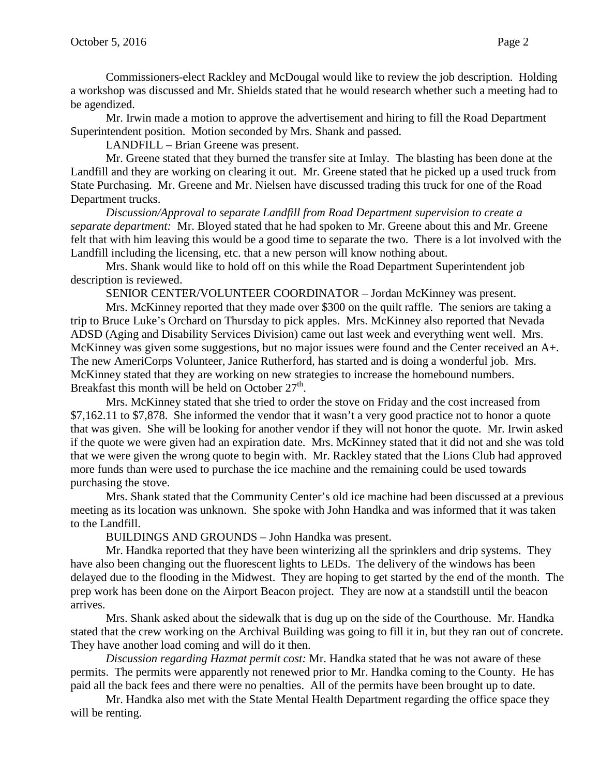Commissioners-elect Rackley and McDougal would like to review the job description. Holding a workshop was discussed and Mr. Shields stated that he would research whether such a meeting had to be agendized.

Mr. Irwin made a motion to approve the advertisement and hiring to fill the Road Department Superintendent position. Motion seconded by Mrs. Shank and passed.

LANDFILL – Brian Greene was present.

Mr. Greene stated that they burned the transfer site at Imlay. The blasting has been done at the Landfill and they are working on clearing it out. Mr. Greene stated that he picked up a used truck from State Purchasing. Mr. Greene and Mr. Nielsen have discussed trading this truck for one of the Road Department trucks.

*Discussion/Approval to separate Landfill from Road Department supervision to create a separate department:* Mr. Bloyed stated that he had spoken to Mr. Greene about this and Mr. Greene felt that with him leaving this would be a good time to separate the two. There is a lot involved with the Landfill including the licensing, etc. that a new person will know nothing about.

Mrs. Shank would like to hold off on this while the Road Department Superintendent job description is reviewed.

SENIOR CENTER/VOLUNTEER COORDINATOR – Jordan McKinney was present.

Mrs. McKinney reported that they made over \$300 on the quilt raffle. The seniors are taking a trip to Bruce Luke's Orchard on Thursday to pick apples. Mrs. McKinney also reported that Nevada ADSD (Aging and Disability Services Division) came out last week and everything went well. Mrs. McKinney was given some suggestions, but no major issues were found and the Center received an A+. The new AmeriCorps Volunteer, Janice Rutherford, has started and is doing a wonderful job. Mrs. McKinney stated that they are working on new strategies to increase the homebound numbers. Breakfast this month will be held on October  $27<sup>th</sup>$ .

Mrs. McKinney stated that she tried to order the stove on Friday and the cost increased from \$7,162.11 to \$7,878. She informed the vendor that it wasn't a very good practice not to honor a quote that was given. She will be looking for another vendor if they will not honor the quote. Mr. Irwin asked if the quote we were given had an expiration date. Mrs. McKinney stated that it did not and she was told that we were given the wrong quote to begin with. Mr. Rackley stated that the Lions Club had approved more funds than were used to purchase the ice machine and the remaining could be used towards purchasing the stove.

Mrs. Shank stated that the Community Center's old ice machine had been discussed at a previous meeting as its location was unknown. She spoke with John Handka and was informed that it was taken to the Landfill.

BUILDINGS AND GROUNDS – John Handka was present.

Mr. Handka reported that they have been winterizing all the sprinklers and drip systems. They have also been changing out the fluorescent lights to LEDs. The delivery of the windows has been delayed due to the flooding in the Midwest. They are hoping to get started by the end of the month. The prep work has been done on the Airport Beacon project. They are now at a standstill until the beacon arrives.

Mrs. Shank asked about the sidewalk that is dug up on the side of the Courthouse. Mr. Handka stated that the crew working on the Archival Building was going to fill it in, but they ran out of concrete. They have another load coming and will do it then.

*Discussion regarding Hazmat permit cost:* Mr. Handka stated that he was not aware of these permits. The permits were apparently not renewed prior to Mr. Handka coming to the County. He has paid all the back fees and there were no penalties. All of the permits have been brought up to date.

Mr. Handka also met with the State Mental Health Department regarding the office space they will be renting.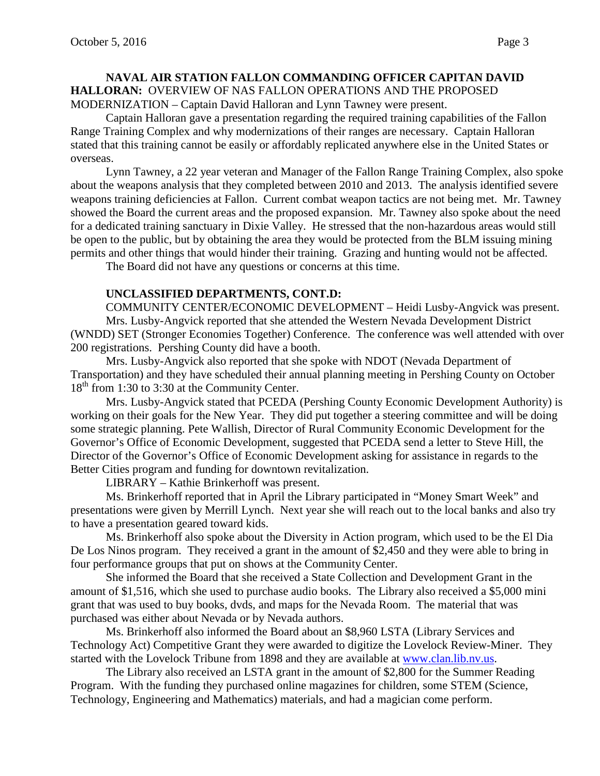#### **NAVAL AIR STATION FALLON COMMANDING OFFICER CAPITAN DAVID HALLORAN:** OVERVIEW OF NAS FALLON OPERATIONS AND THE PROPOSED MODERNIZATION – Captain David Halloran and Lynn Tawney were present.

Captain Halloran gave a presentation regarding the required training capabilities of the Fallon Range Training Complex and why modernizations of their ranges are necessary. Captain Halloran stated that this training cannot be easily or affordably replicated anywhere else in the United States or overseas.

Lynn Tawney, a 22 year veteran and Manager of the Fallon Range Training Complex, also spoke about the weapons analysis that they completed between 2010 and 2013. The analysis identified severe weapons training deficiencies at Fallon. Current combat weapon tactics are not being met. Mr. Tawney showed the Board the current areas and the proposed expansion. Mr. Tawney also spoke about the need for a dedicated training sanctuary in Dixie Valley. He stressed that the non-hazardous areas would still be open to the public, but by obtaining the area they would be protected from the BLM issuing mining permits and other things that would hinder their training. Grazing and hunting would not be affected.

The Board did not have any questions or concerns at this time.

#### **UNCLASSIFIED DEPARTMENTS, CONT.D:**

COMMUNITY CENTER/ECONOMIC DEVELOPMENT – Heidi Lusby-Angvick was present. Mrs. Lusby-Angvick reported that she attended the Western Nevada Development District (WNDD) SET (Stronger Economies Together) Conference. The conference was well attended with over 200 registrations. Pershing County did have a booth.

Mrs. Lusby-Angvick also reported that she spoke with NDOT (Nevada Department of Transportation) and they have scheduled their annual planning meeting in Pershing County on October 18<sup>th</sup> from 1:30 to 3:30 at the Community Center.

Mrs. Lusby-Angvick stated that PCEDA (Pershing County Economic Development Authority) is working on their goals for the New Year. They did put together a steering committee and will be doing some strategic planning. Pete Wallish, Director of Rural Community Economic Development for the Governor's Office of Economic Development, suggested that PCEDA send a letter to Steve Hill, the Director of the Governor's Office of Economic Development asking for assistance in regards to the Better Cities program and funding for downtown revitalization.

LIBRARY – Kathie Brinkerhoff was present.

Ms. Brinkerhoff reported that in April the Library participated in "Money Smart Week" and presentations were given by Merrill Lynch. Next year she will reach out to the local banks and also try to have a presentation geared toward kids.

Ms. Brinkerhoff also spoke about the Diversity in Action program, which used to be the El Dia De Los Ninos program. They received a grant in the amount of \$2,450 and they were able to bring in four performance groups that put on shows at the Community Center.

She informed the Board that she received a State Collection and Development Grant in the amount of \$1,516, which she used to purchase audio books. The Library also received a \$5,000 mini grant that was used to buy books, dvds, and maps for the Nevada Room. The material that was purchased was either about Nevada or by Nevada authors.

Ms. Brinkerhoff also informed the Board about an \$8,960 LSTA (Library Services and Technology Act) Competitive Grant they were awarded to digitize the Lovelock Review-Miner. They started with the Lovelock Tribune from 1898 and they are available at [www.clan.lib.nv.us.](http://www.clan.lib.nv.us/)

The Library also received an LSTA grant in the amount of \$2,800 for the Summer Reading Program. With the funding they purchased online magazines for children, some STEM (Science, Technology, Engineering and Mathematics) materials, and had a magician come perform.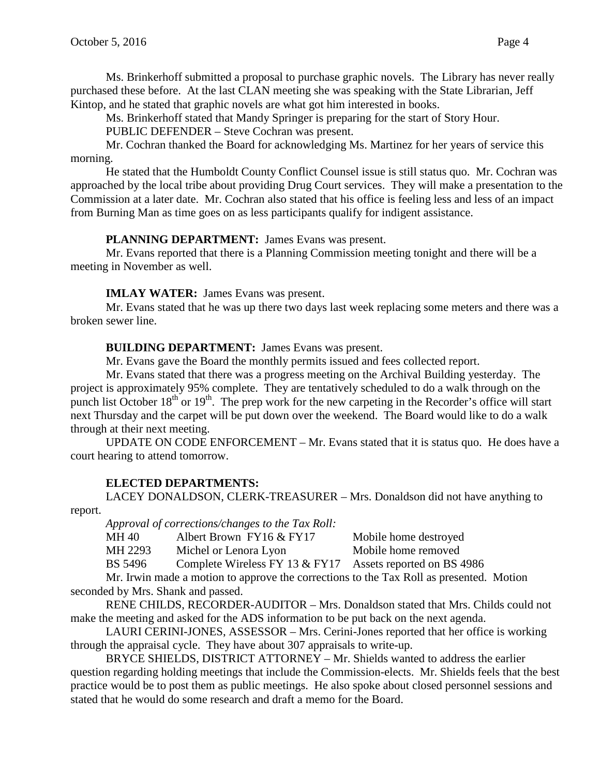Ms. Brinkerhoff submitted a proposal to purchase graphic novels. The Library has never really purchased these before. At the last CLAN meeting she was speaking with the State Librarian, Jeff Kintop, and he stated that graphic novels are what got him interested in books.

Ms. Brinkerhoff stated that Mandy Springer is preparing for the start of Story Hour.

PUBLIC DEFENDER – Steve Cochran was present.

Mr. Cochran thanked the Board for acknowledging Ms. Martinez for her years of service this morning.

He stated that the Humboldt County Conflict Counsel issue is still status quo. Mr. Cochran was approached by the local tribe about providing Drug Court services. They will make a presentation to the Commission at a later date. Mr. Cochran also stated that his office is feeling less and less of an impact from Burning Man as time goes on as less participants qualify for indigent assistance.

## **PLANNING DEPARTMENT:** James Evans was present.

Mr. Evans reported that there is a Planning Commission meeting tonight and there will be a meeting in November as well.

## **IMLAY WATER:** James Evans was present.

Mr. Evans stated that he was up there two days last week replacing some meters and there was a broken sewer line.

**BUILDING DEPARTMENT:** James Evans was present.

Mr. Evans gave the Board the monthly permits issued and fees collected report.

Mr. Evans stated that there was a progress meeting on the Archival Building yesterday. The project is approximately 95% complete. They are tentatively scheduled to do a walk through on the punch list October  $18<sup>th</sup>$  or  $19<sup>th</sup>$ . The prep work for the new carpeting in the Recorder's office will start next Thursday and the carpet will be put down over the weekend. The Board would like to do a walk through at their next meeting.

UPDATE ON CODE ENFORCEMENT – Mr. Evans stated that it is status quo. He does have a court hearing to attend tomorrow.

# **ELECTED DEPARTMENTS:**

LACEY DONALDSON, CLERK-TREASURER – Mrs. Donaldson did not have anything to report.

*Approval of corrections/changes to the Tax Roll:*

MH 40 Albert Brown FY16 & FY17 Mobile home destroyed

MH 2293 Michel or Lenora Lyon Mobile home removed

BS 5496 Complete Wireless FY 13 & FY17 Assets reported on BS 4986

Mr. Irwin made a motion to approve the corrections to the Tax Roll as presented. Motion seconded by Mrs. Shank and passed.

RENE CHILDS, RECORDER-AUDITOR – Mrs. Donaldson stated that Mrs. Childs could not make the meeting and asked for the ADS information to be put back on the next agenda.

LAURI CERINI-JONES, ASSESSOR – Mrs. Cerini-Jones reported that her office is working through the appraisal cycle. They have about 307 appraisals to write-up.

BRYCE SHIELDS, DISTRICT ATTORNEY – Mr. Shields wanted to address the earlier question regarding holding meetings that include the Commission-elects. Mr. Shields feels that the best practice would be to post them as public meetings. He also spoke about closed personnel sessions and stated that he would do some research and draft a memo for the Board.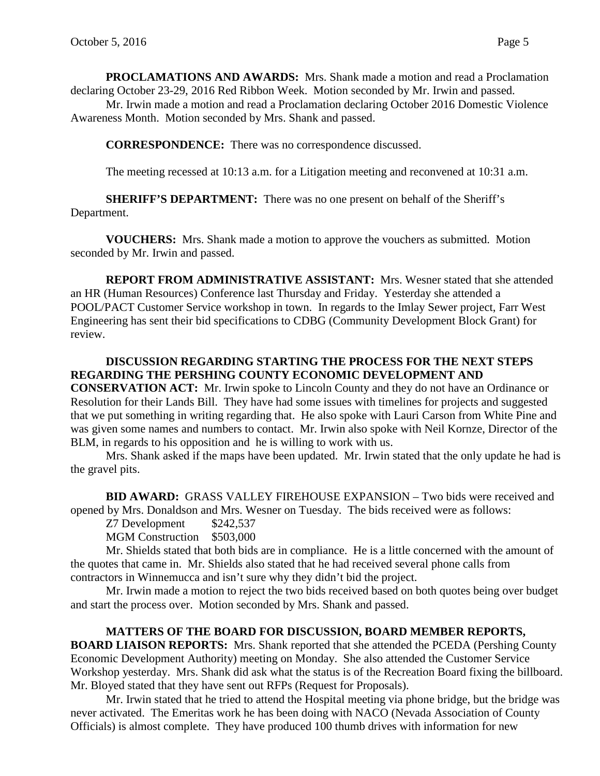**PROCLAMATIONS AND AWARDS:** Mrs. Shank made a motion and read a Proclamation declaring October 23-29, 2016 Red Ribbon Week. Motion seconded by Mr. Irwin and passed.

Mr. Irwin made a motion and read a Proclamation declaring October 2016 Domestic Violence Awareness Month. Motion seconded by Mrs. Shank and passed.

**CORRESPONDENCE:** There was no correspondence discussed.

The meeting recessed at 10:13 a.m. for a Litigation meeting and reconvened at 10:31 a.m.

**SHERIFF'S DEPARTMENT:** There was no one present on behalf of the Sheriff's Department.

**VOUCHERS:** Mrs. Shank made a motion to approve the vouchers as submitted. Motion seconded by Mr. Irwin and passed.

**REPORT FROM ADMINISTRATIVE ASSISTANT:** Mrs. Wesner stated that she attended an HR (Human Resources) Conference last Thursday and Friday. Yesterday she attended a POOL/PACT Customer Service workshop in town. In regards to the Imlay Sewer project, Farr West Engineering has sent their bid specifications to CDBG (Community Development Block Grant) for review.

### **DISCUSSION REGARDING STARTING THE PROCESS FOR THE NEXT STEPS REGARDING THE PERSHING COUNTY ECONOMIC DEVELOPMENT AND**

**CONSERVATION ACT:** Mr. Irwin spoke to Lincoln County and they do not have an Ordinance or Resolution for their Lands Bill. They have had some issues with timelines for projects and suggested that we put something in writing regarding that. He also spoke with Lauri Carson from White Pine and was given some names and numbers to contact. Mr. Irwin also spoke with Neil Kornze, Director of the BLM, in regards to his opposition and he is willing to work with us.

Mrs. Shank asked if the maps have been updated. Mr. Irwin stated that the only update he had is the gravel pits.

**BID AWARD:** GRASS VALLEY FIREHOUSE EXPANSION – Two bids were received and opened by Mrs. Donaldson and Mrs. Wesner on Tuesday. The bids received were as follows:

Z7 Development \$242,537

MGM Construction \$503,000

Mr. Shields stated that both bids are in compliance. He is a little concerned with the amount of the quotes that came in. Mr. Shields also stated that he had received several phone calls from contractors in Winnemucca and isn't sure why they didn't bid the project.

Mr. Irwin made a motion to reject the two bids received based on both quotes being over budget and start the process over. Motion seconded by Mrs. Shank and passed.

# **MATTERS OF THE BOARD FOR DISCUSSION, BOARD MEMBER REPORTS,**

**BOARD LIAISON REPORTS:** Mrs. Shank reported that she attended the PCEDA (Pershing County Economic Development Authority) meeting on Monday. She also attended the Customer Service Workshop yesterday. Mrs. Shank did ask what the status is of the Recreation Board fixing the billboard. Mr. Bloyed stated that they have sent out RFPs (Request for Proposals).

Mr. Irwin stated that he tried to attend the Hospital meeting via phone bridge, but the bridge was never activated. The Emeritas work he has been doing with NACO (Nevada Association of County Officials) is almost complete. They have produced 100 thumb drives with information for new